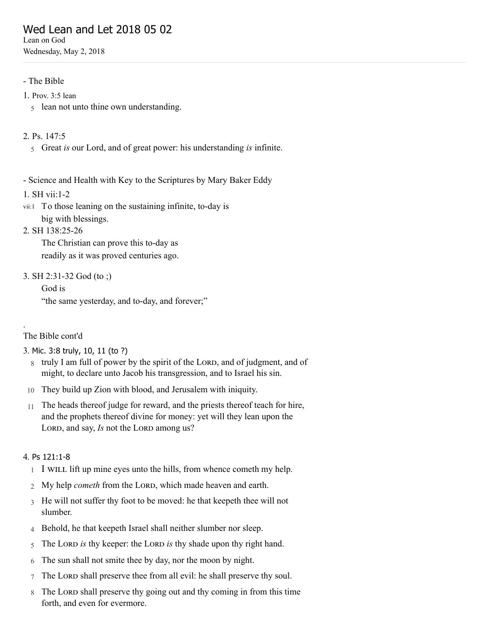# Wed Lean and Let 2018 05 02

Lean on God Wednesday, May 2, 2018

# - The Bible

- 1. [Prov.](http://www.concordworks.com/citation/Prov.%203:5%20lean) 3:5 lean
	- 5 lean not unto thine own understanding.
- 2. [Ps. 147:5](http://www.concordworks.com/citation/Ps.%20147:5)
	- 5 Great *is* our Lord, and of great power: his understanding *is* infinite.
- Science and Health with Key to the Scriptures by Mary Baker Eddy
- 1. [SH vii:1-2](http://www.concordworks.com/citation/SH%20vii:1-2)
- vii:1 To those leaning on the sustaining infinite, to-day is big with blessings.
- 2. [SH 138:25-26](http://www.concordworks.com/citation/SH%20138:25-26)

The Christian can prove this to-day as readily as it was proved centuries ago.

3. [SH 2:31-32 God \(to ;\)](http://www.concordworks.com/citation/SH%202:31-32%20God%20(to%20;))

God is "the same yesterday, and to-day, and forever;"

The Bible cont'd

.

- 3. Mic. 3:8 [truly,](http://www.concordworks.com/citation/Mic.%203:8%20truly,%2010,%2011%20(to%20?)) 10, 11 (to ?)
	- 8 truly I am full of power by the spirit of the LORD, and of judgment, and of might, to declare unto Jacob his transgression, and to Israel his sin.
- 10 They build up Zion with blood, and Jerusalem with iniquity.
- 11 The heads thereof judge for reward, and the priests thereof teach for hire, and the prophets thereof divine for money: yet will they lean upon the LORD, and say, *Is* not the LORD among us?

### 4. Ps [121:1-8](http://www.concordworks.com/citation/Ps%20121:1-8)

- 1 I WILL lift up mine eyes unto the hills, from whence cometh my help.
- 2 My help *cometh* from the LORD, which made heaven and earth.
- 3 He will not suffer thy foot to be moved: he that keepeth thee will not slumber.
- 4 Behold, he that keepeth Israel shall neither slumber nor sleep.
- 5 The LORD is thy keeper: the LORD is thy shade upon thy right hand.
- 6 The sun shall not smite thee by day, nor the moon by night.
- 7 The LORD shall preserve thee from all evil: he shall preserve thy soul.
- 8 The LORD shall preserve thy going out and thy coming in from this time forth, and even for evermore.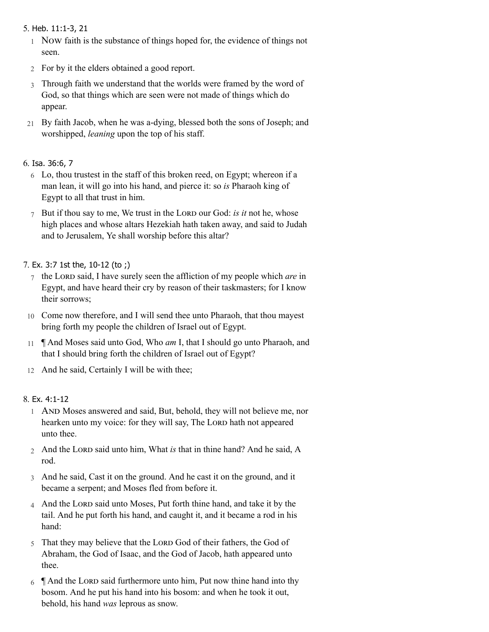# 5. Heb. [11:1-3,](http://www.concordworks.com/citation/Heb.%2011:1-3,%2021) 21

- 1 Now faith is the substance of things hoped for, the evidence of things not seen.
- 2 For by it the elders obtained a good report.
- 3 Through faith we understand that the worlds were framed by the word of God, so that things which are seen were not made of things which do appear.
- 21 By faith Jacob, when he was a-dying, blessed both the sons of Joseph; and worshipped, *leaning* upon the top of his staff.

# 6. Isa. [36:6,](http://www.concordworks.com/citation/Isa.%2036:6,%207) 7

- 6 Lo, thou trustest in the staff of this broken reed, on Egypt; whereon if a man lean, it will go into his hand, and pierce it: so *is* Pharaoh king of Egypt to all that trust in him.
- 7 But if thou say to me, We trust in the LORD our God: *is it* not he, whose high places and whose altars Hezekiah hath taken away, and said to Judah and to Jerusalem, Ye shall worship before this altar?

# 7. Ex. 3:7 1st the, [10-12](http://www.concordworks.com/citation/Ex.%203:7%201st%20the,%2010-12%20(to%20;)) (to ;)

- 7 the LORD said, I have surely seen the affliction of my people which *are* in Egypt, and have heard their cry by reason of their taskmasters; for I know their sorrows;
- 10 Come now therefore, and I will send thee unto Pharaoh, that thou mayest bring forth my people the children of Israel out of Egypt.
- 11 ¶ And Moses said unto God, Who *am* I, that I should go unto Pharaoh, and that I should bring forth the children of Israel out of Egypt?
- 12 And he said, Certainly I will be with thee;

# 8. Ex. [4:1-12](http://www.concordworks.com/citation/Ex.%204:1-12)

- 1 AND Moses answered and said, But, behold, they will not believe me, nor hearken unto my voice: for they will say, The LORD hath not appeared unto thee.
- 2 And the LORD said unto him, What *is* that in thine hand? And he said, A rod.
- 3 And he said, Cast it on the ground. And he cast it on the ground, and it became a serpent; and Moses fled from before it.
- 4 And the LORD said unto Moses, Put forth thine hand, and take it by the tail. And he put forth his hand, and caught it, and it became a rod in his hand:
- 5 That they may believe that the LORD God of their fathers, the God of Abraham, the God of Isaac, and the God of Jacob, hath appeared unto thee.
- 6 • And the LORD said furthermore unto him, Put now thine hand into thy bosom. And he put his hand into his bosom: and when he took it out, behold, his hand *was* leprous as snow.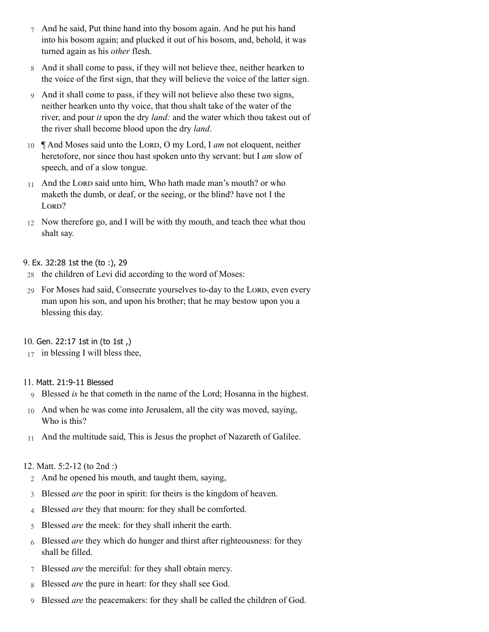- 7 And he said, Put thine hand into thy bosom again. And he put his hand into his bosom again; and plucked it out of his bosom, and, behold, it was turned again as his *other* flesh.
- 8 And it shall come to pass, if they will not believe thee, neither hearken to the voice of the first sign, that they will believe the voice of the latter sign.
- 9 And it shall come to pass, if they will not believe also these two signs, neither hearken unto thy voice, that thou shalt take of the water of the river, and pour *it* upon the dry *land:* and the water which thou takest out of the river shall become blood upon the dry *land*.
- 10  $\parallel$  And Moses said unto the LORD, O my Lord, I *am* not eloquent, neither heretofore, nor since thou hast spoken unto thy servant: but I *am* slow of speech, and of a slow tongue.
- 11 And the LORD said unto him, Who hath made man's mouth? or who maketh the dumb, or deaf, or the seeing, or the blind? have not I the LORD?
- 12 Now therefore go, and I will be with thy mouth, and teach thee what thou shalt say.

# 9. Ex. [32:28](http://www.concordworks.com/citation/Ex.%2032:28%201st%20the%20(to%20:),%2029) 1st the (to :), 29

- 28 the children of Levi did according to the word of Moses:
- 29 For Moses had said, Consecrate yourselves to-day to the LORD, even every man upon his son, and upon his brother; that he may bestow upon you a blessing this day.

# 10. Gen. [22:17](http://www.concordworks.com/citation/Gen.%2022:17%201st%20in%20(to%201st%20,)) 1st in (to 1st ,)

17 in blessing I will bless thee,

### 11. Matt. [21:9-11](http://www.concordworks.com/citation/Matt.%2021:9-11%20Blessed) Blessed

- 9 Blessed *is* he that cometh in the name of the Lord; Hosanna in the highest.
- 10 And when he was come into Jerusalem, all the city was moved, saying, Who is this?
- 11 And the multitude said, This is Jesus the prophet of Nazareth of Galilee.

### 12. [Matt. 5:2-12 \(to 2nd :\)](http://www.concordworks.com/citation/Matt.%205:2-12%20(to%202nd%20:))

- 2 And he opened his mouth, and taught them, saying,
- 3 Blessed *are* the poor in spirit: for theirs is the kingdom of heaven.
- 4 Blessed *are* they that mourn: for they shall be comforted.
- 5 Blessed *are* the meek: for they shall inherit the earth.
- 6 Blessed *are* they which do hunger and thirst after righteousness: for they shall be filled.
- 7 Blessed *are* the merciful: for they shall obtain mercy.
- 8 Blessed *are* the pure in heart: for they shall see God.
- 9 Blessed *are* the peacemakers: for they shall be called the children of God.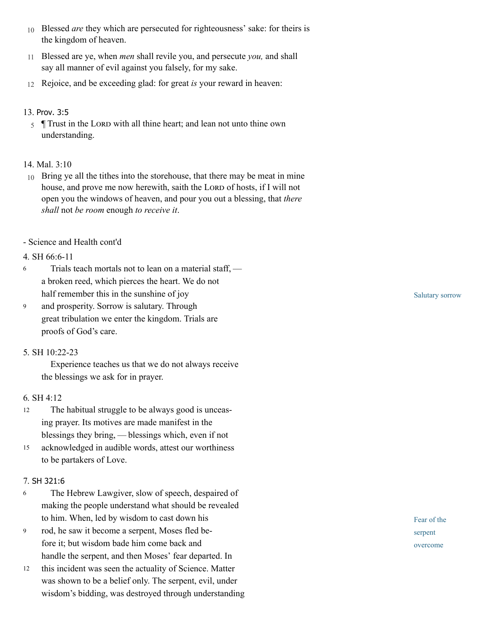- 10 Blessed *are* they which are persecuted for righteousness' sake: for theirs is the kingdom of heaven.
- 11 Blessed are ye, when *men* shall revile you, and persecute *you,* and shall say all manner of evil against you falsely, for my sake.
- 12 Rejoice, and be exceeding glad: for great *is* your reward in heaven:

# 13. [Prov.](http://www.concordworks.com/citation/Prov.%203:5) 3:5

 $\frac{5}{5}$  Trust in the LORD with all thine heart; and lean not unto thine own understanding.

# 14. [Mal. 3:10](http://www.concordworks.com/citation/Mal.%203:10)

- 10 Bring ye all the tithes into the storehouse, that there may be meat in mine house, and prove me now herewith, saith the LORD of hosts, if I will not open you the windows of heaven, and pour you out a blessing, that *there shall* not *be room* enough *to receive it*.
- Science and Health cont'd

# 4. [SH 66:6-11](http://www.concordworks.com/citation/SH%2066:6-11)

- Trials teach mortals not to lean on a material staff,  a broken reed, which pierces the heart. We do not half remember this in the sunshine of joy 6
- and prosperity. Sorrow is salutary. Through great tribulation we enter the kingdom. Trials are proofs of God's care. 9

### 5. [SH 10:22-23](http://www.concordworks.com/citation/SH%2010:22-23)

 Experience teaches us that we do not always receive the blessings we ask for in prayer.

### 6. [SH 4:12](http://www.concordworks.com/citation/SH%204:12)

- The habitual struggle to be always good is unceas‐ ing prayer. Its motives are made manifest in the blessings they bring, — blessings which, even if not 12
- acknowledged in audible words, attest our worthiness to be partakers of Love. 15

### 7. SH [321:6](http://www.concordworks.com/citation/SH%20321:6)

- The Hebrew Lawgiver, slow of speech, despaired of making the people understand what should be revealed to him. When, led by wisdom to cast down his 6
- rod, he saw it become a serpent, Moses fled be‐ fore it; but wisdom bade him come back and handle the serpent, and then Moses' fear departed. In 9
- this incident was seen the actuality of Science. Matter was shown to be a belief only. The serpent, evil, under wisdom's bidding, was destroyed through understanding 12

Salutary sorrow

Fear of the serpent overcome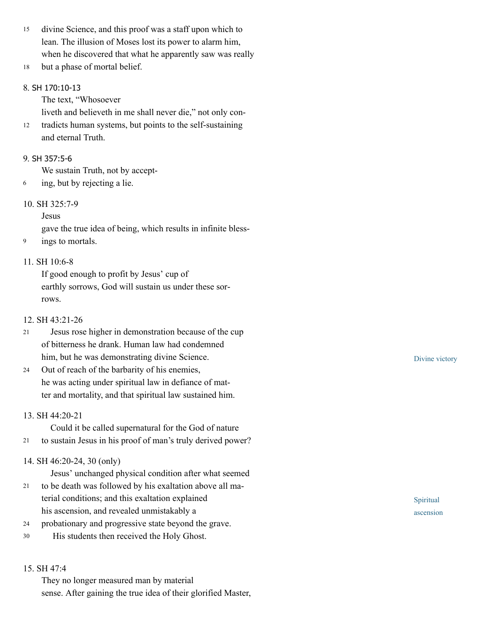divine Science, and this proof was a staff upon which to lean. The illusion of Moses lost its power to alarm him, when he discovered that what he apparently saw was really 15

but a phase of mortal belief. 18

# 8. SH [170:10-13](http://www.concordworks.com/citation/SH%20170:10-13)

The text, "Whosoever

liveth and believeth in me shall never die," not only con-

tradicts human systems, but points to the self-sustaining and eternal Truth. 12

# 9. SH [357:5-6](http://www.concordworks.com/citation/SH%20357:5-6)

We sustain Truth, not by accept‐

6 ing, but by rejecting a lie.

# 10. [SH 325:7-9](http://www.concordworks.com/citation/SH%20325:7-9)

Jesus

gave the true idea of being, which results in infinite bless‐

9 ings to mortals.

# 11. [SH 10:6-8](http://www.concordworks.com/citation/SH%2010:6-8)

If good enough to profit by Jesus' cup of earthly sorrows, God will sustain us under these sorrows.

# 12. [SH 43:21-26](http://www.concordworks.com/citation/SH%2043:21-26)

- Jesus rose higher in demonstration because of the cup of bitterness he drank. Human law had condemned him, but he was demonstrating divine Science. 21
- Out of reach of the barbarity of his enemies, he was acting under spiritual law in defiance of matter and mortality, and that spiritual law sustained him. 24

### 13. [SH 44:20-21](http://www.concordworks.com/citation/SH%2044:20-21)

 Could it be called supernatural for the God of nature 21 to sustain Jesus in his proof of man's truly derived power?

# 14. [SH 46:20-24, 30 \(only\)](http://www.concordworks.com/citation/SH%2046:20-24,%2030%20(only))

Jesus' unchanged physical condition after what seemed

- to be death was followed by his exaltation above all ma‐ terial conditions; and this exaltation explained his ascension, and revealed unmistakably a 21
- probationary and progressive state beyond the grave. 24
- His students then received the Holy Ghost. 30

### 15. [SH 47:4](http://www.concordworks.com/citation/SH%2047:4)

They no longer measured man by material sense. After gaining the true idea of their glorified Master, Divine victory

Spiritual ascension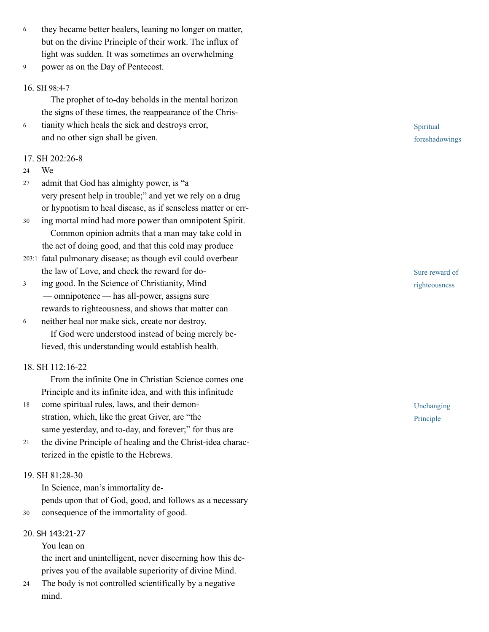- they became better healers, leaning no longer on matter, but on the divine Principle of their work. The influx of light was sudden. It was sometimes an overwhelming 6
- power as on the Day of Pentecost. 9

#### 16. SH [98:4-7](http://www.concordworks.com/citation/SH%2098:4-7)

 The prophet of to-day beholds in the mental horizon the signs of these times, the reappearance of the Chris‐

tianity which heals the sick and destroys error, and no other sign shall be given. 6

#### 17. [SH 202:26-8](http://www.concordworks.com/citation/SH%20202:26-8)

We 24

admit that God has almighty power, is "a very present help in trouble;" and yet we rely on a drug or hypnotism to heal disease, as if senseless matter or err‐ 27

- ing mortal mind had more power than omnipotent Spirit. Common opinion admits that a man may take cold in the act of doing good, and that this cold may produce 30
- 203:1 fatal pulmonary disease; as though evil could overbear the law of Love, and check the reward for do‐
- ing good. In the Science of Christianity, Mind  — omnipotence — has all-power, assigns sure rewards to righteousness, and shows that matter can 3
- neither heal nor make sick, create nor destroy. If God were understood instead of being merely be‐ lieved, this understanding would establish health. 6

### 18. [SH 112:16-22](http://www.concordworks.com/citation/SH%20112:16-22)

 From the infinite One in Christian Science comes one Principle and its infinite idea, and with this infinitude

- come spiritual rules, laws, and their demon‐ stration, which, like the great Giver, are "the same yesterday, and to-day, and forever;" for thus are 18
- the divine Principle of healing and the Christ-idea charac‐ terized in the epistle to the Hebrews. 21

# 19. [SH 81:28-30](http://www.concordworks.com/citation/SH%2081:28-30)

In Science, man's immortality de‐

pends upon that of God, good, and follows as a necessary 30 consequence of the immortality of good.

#### 20. SH [143:21-27](http://www.concordworks.com/citation/SH%20143:21-27)

You lean on

the inert and unintelligent, never discerning how this de‐ prives you of the available superiority of divine Mind.

The body is not controlled scientifically by a negative mind. 24

Spiritual foreshadowings

Sure reward of righteousness

Unchanging Principle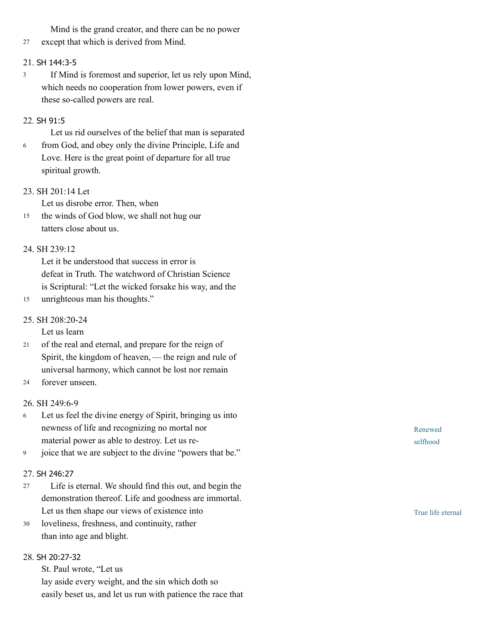Mind is the grand creator, and there can be no power

27 except that which is derived from Mind.

### 21. SH [144:3-5](http://www.concordworks.com/citation/SH%20144:3-5)

 If Mind is foremost and superior, let us rely upon Mind, which needs no cooperation from lower powers, even if these so-called powers are real. 3

# 22. SH [91:5](http://www.concordworks.com/citation/SH%2091:5)

Let us rid ourselves of the belief that man is separated

from God, and obey only the divine Principle, Life and Love. Here is the great point of departure for all true spiritual growth. 6

### 23. [SH 201:14 Let](http://www.concordworks.com/citation/SH%20201:14%20Let)

Let us disrobe error. Then, when

the winds of God blow, we shall not hug our tatters close about us. 15

# 24. [SH 239:12](http://www.concordworks.com/citation/SH%20239:12)

Let it be understood that success in error is defeat in Truth. The watchword of Christian Science is Scriptural: "Let the wicked forsake his way, and the

15 unrighteous man his thoughts."

# 25. [SH 208:20-24](http://www.concordworks.com/citation/SH%20208:20-24)

Let us learn

- of the real and eternal, and prepare for the reign of Spirit, the kingdom of heaven, — the reign and rule of universal harmony, which cannot be lost nor remain 21
- forever unseen. 24

### 26. [SH 249:6-9](http://www.concordworks.com/citation/SH%20249:6-9)

- Let us feel the divine energy of Spirit, bringing us into newness of life and recognizing no mortal nor material power as able to destroy. Let us re‐ 6
- joice that we are subject to the divine "powers that be." 9

# 27. SH [246:27](http://www.concordworks.com/citation/SH%20246:27)

- Life is eternal. We should find this out, and begin the demonstration thereof. Life and goodness are immortal. Let us then shape our views of existence into 27
- loveliness, freshness, and continuity, rather than into age and blight. 30

# 28. SH [20:27-32](http://www.concordworks.com/citation/SH%2020:27-32)

St. Paul wrote, "Let us

lay aside every weight, and the sin which doth so easily beset us, and let us run with patience the race that Renewed selfhood

True life eternal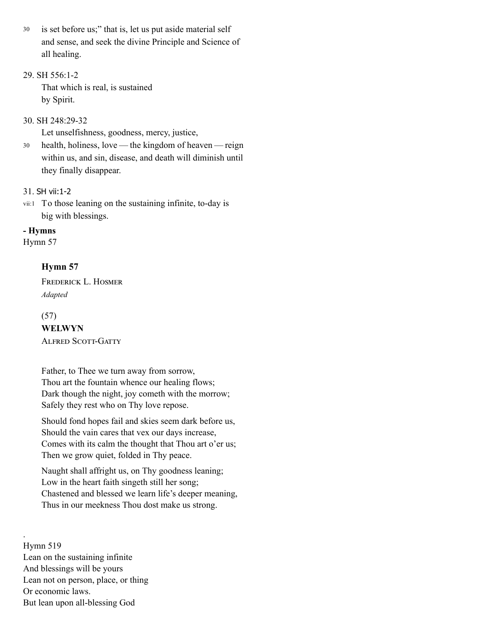is set before us;" that is, let us put aside material self and sense, and seek the divine Principle and Science of all healing. 30

# 29. [SH 556:1-2](http://www.concordworks.com/citation/SH%20556:1-2)

That which is real, is sustained by Spirit.

# 30. [SH 248:29-32](http://www.concordworks.com/citation/SH%20248:29-32)

Let unselfishness, goodness, mercy, justice,

health, holiness, love — the kingdom of heaven — reign within us, and sin, disease, and death will diminish until they finally disappear. 30

# 31. SH [vii:1-2](http://www.concordworks.com/citation/SH%20vii:1-2)

vii:1 To those leaning on the sustaining infinite, to-day is big with blessings.

# - Hymns

[Hymn 57](http://www.concordworks.com/citation/Hymn%2057)

# Hymn 57

FREDERICK L. HOSMER *Adapted*

# (57)

.

WELWYN **ALFRED SCOTT-GATTY** 

Father, to Thee we turn away from sorrow, Thou art the fountain whence our healing flows; Dark though the night, joy cometh with the morrow; Safely they rest who on Thy love repose.

Should fond hopes fail and skies seem dark before us, Should the vain cares that vex our days increase, Comes with its calm the thought that Thou art o'er us; Then we grow quiet, folded in Thy peace.

Naught shall affright us, on Thy goodness leaning; Low in the heart faith singeth still her song; Chastened and blessed we learn life's deeper meaning, Thus in our meekness Thou dost make us strong.

Hymn 519 Lean on the sustaining infinite And blessings will be yours Lean not on person, place, or thing Or economic laws. But lean upon all-blessing God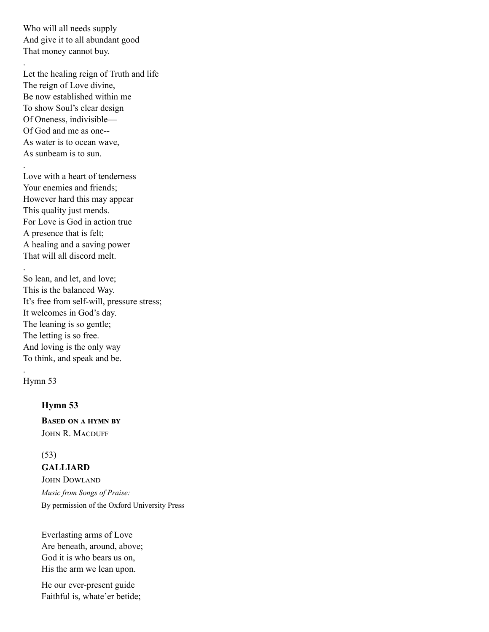Who will all needs supply And give it to all abundant good That money cannot buy.

.

.

.

Let the healing reign of Truth and life The reign of Love divine, Be now established within me To show Soul's clear design Of Oneness, indivisible— Of God and me as one-- As water is to ocean wave, As sunbeam is to sun.

Love with a heart of tenderness Your enemies and friends; However hard this may appear This quality just mends. For Love is God in action true A presence that is felt; A healing and a saving power That will all discord melt.

So lean, and let, and love; This is the balanced Way. It's free from self-will, pressure stress; It welcomes in God's day. The leaning is so gentle; The letting is so free. And loving is the only way To think, and speak and be.

[Hymn 53](http://www.concordworks.com/citation/Hymn%2053)

.

### Hymn 53

**BASED ON A HYMN BY** JOHN R. MACDUFF

#### (53)

GALLIARD

**JOHN DOWLAND** *Music from Songs of Praise:* By permission of the Oxford University Press

Everlasting arms of Love Are beneath, around, above; God it is who bears us on, His the arm we lean upon.

He our ever-present guide Faithful is, whate'er betide;